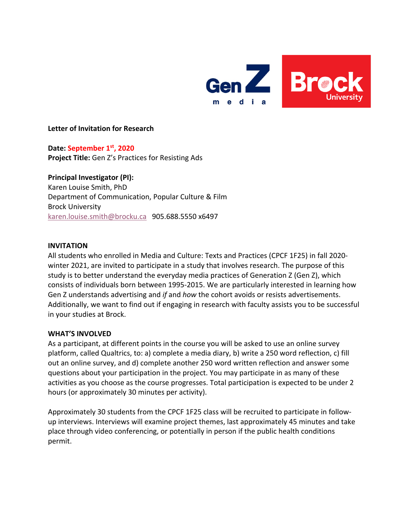

# **Letter of Invitation for Research**

**Date: September 1st, 2020 Project Title:** Gen Z's Practices for Resisting Ads

**Principal Investigator (PI):** Karen Louise Smith, PhD Department of Communication, Popular Culture & Film Brock University karen.louise.smith@brocku.ca905.688.5550 x6497

#### **INVITATION**

All students who enrolled in Media and Culture: Texts and Practices (CPCF 1F25) in fall 2020 winter 2021, are invited to participate in a study that involves research. The purpose of this study is to better understand the everyday media practices of Generation Z (Gen Z), which consists of individuals born between 1995-2015. We are particularly interested in learning how Gen Z understands advertising and *if* and *how* the cohort avoids or resists advertisements. Additionally, we want to find out if engaging in research with faculty assists you to be successful in your studies at Brock.

### **WHAT'S INVOLVED**

As a participant, at different points in the course you will be asked to use an online survey platform, called Qualtrics, to: a) complete a media diary, b) write a 250 word reflection, c) fill out an online survey, and d) complete another 250 word written reflection and answer some questions about your participation in the project. You may participate in as many of these activities as you choose as the course progresses. Total participation is expected to be under 2 hours (or approximately 30 minutes per activity).

Approximately 30 students from the CPCF 1F25 class will be recruited to participate in followup interviews. Interviews will examine project themes, last approximately 45 minutes and take place through video conferencing, or potentially in person if the public health conditions permit.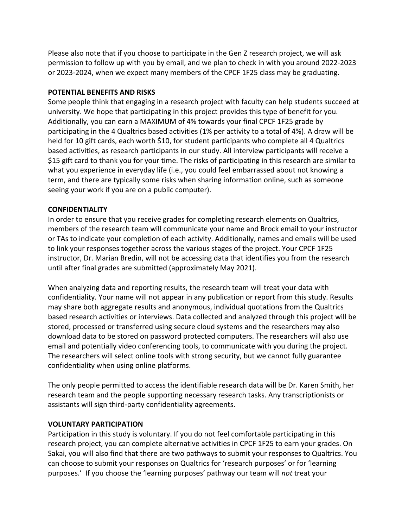Please also note that if you choose to participate in the Gen Z research project, we will ask permission to follow up with you by email, and we plan to check in with you around 2022-2023 or 2023-2024, when we expect many members of the CPCF 1F25 class may be graduating.

# **POTENTIAL BENEFITS AND RISKS**

Some people think that engaging in a research project with faculty can help students succeed at university. We hope that participating in this project provides this type of benefit for you. Additionally, you can earn a MAXIMUM of 4% towards your final CPCF 1F25 grade by participating in the 4 Qualtrics based activities (1% per activity to a total of 4%). A draw will be held for 10 gift cards, each worth \$10, for student participants who complete all 4 Qualtrics based activities, as research participants in our study. All interview participants will receive a \$15 gift card to thank you for your time. The risks of participating in this research are similar to what you experience in everyday life (i.e., you could feel embarrassed about not knowing a term, and there are typically some risks when sharing information online, such as someone seeing your work if you are on a public computer).

# **CONFIDENTIALITY**

In order to ensure that you receive grades for completing research elements on Qualtrics, members of the research team will communicate your name and Brock email to your instructor or TAs to indicate your completion of each activity. Additionally, names and emails will be used to link your responses together across the various stages of the project. Your CPCF 1F25 instructor, Dr. Marian Bredin, will not be accessing data that identifies you from the research until after final grades are submitted (approximately May 2021).

When analyzing data and reporting results, the research team will treat your data with confidentiality. Your name will not appear in any publication or report from this study. Results may share both aggregate results and anonymous, individual quotations from the Qualtrics based research activities or interviews. Data collected and analyzed through this project will be stored, processed or transferred using secure cloud systems and the researchers may also download data to be stored on password protected computers. The researchers will also use email and potentially video conferencing tools, to communicate with you during the project. The researchers will select online tools with strong security, but we cannot fully guarantee confidentiality when using online platforms.

The only people permitted to access the identifiable research data will be Dr. Karen Smith, her research team and the people supporting necessary research tasks. Any transcriptionists or assistants will sign third-party confidentiality agreements.

### **VOLUNTARY PARTICIPATION**

Participation in this study is voluntary. If you do not feel comfortable participating in this research project, you can complete alternative activities in CPCF 1F25 to earn your grades. On Sakai, you will also find that there are two pathways to submit your responses to Qualtrics. You can choose to submit your responses on Qualtrics for 'research purposes' or for 'learning purposes.' If you choose the 'learning purposes' pathway our team will *not* treat your